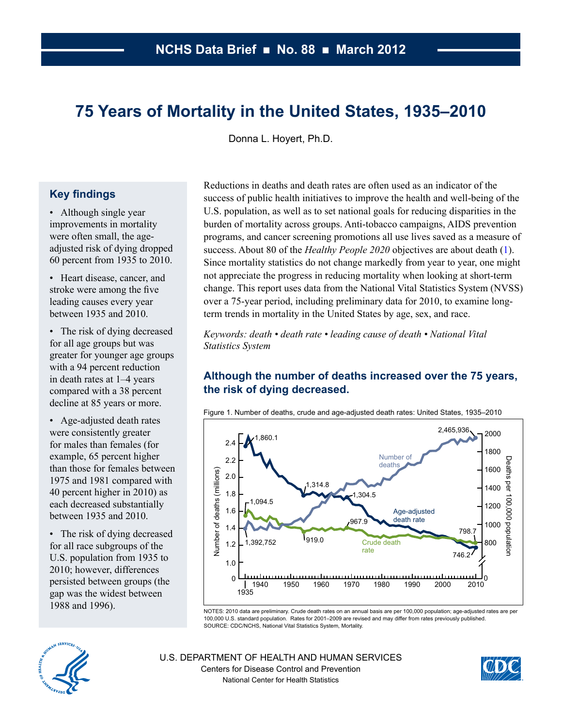# <span id="page-0-0"></span>**75 Years of Mortality in the United States, 1935–2010**

Donna L. Hoyert, Ph.D.

# **Key findings**

- Although single year improvements in mortality were often small, the ageadjusted risk of dying dropped 60 percent from 1935 to 2010.
- Heart disease, cancer, and stroke were among the five leading causes every year between 1935 and 2010.
- The risk of dying decreased for all age groups but was greater for younger age groups with a 94 percent reduction in death rates at 1–4 years compared with a 38 percent decline at 85 years or more.
- Age-adjusted death rates were consistently greater for males than females (for example, 65 percent higher than those for females between 1975 and 1981 compared with 40 percent higher in 2010) as each decreased substantially between 1935 and 2010.
- The risk of dying decreased for all race subgroups of the U.S. population from 1935 to 2010; however, differences persisted between groups (the gap was the widest between 1988 and 1996).

Reductions in deaths and death rates are often used as an indicator of the success of public health initiatives to improve the health and well-being of the U.S. population, as well as to set national goals for reducing disparities in the burden of mortality across groups. Anti-tobacco campaigns, AIDS prevention programs, and cancer screening promotions all use lives saved as a measure of success. About 80 of the *Healthy People 2020* objectives are about death [\(1\)](#page-5-0). Since mortality statistics do not change markedly from year to year, one might not appreciate the progress in reducing mortality when looking at short-term change. This report uses data from the National Vital Statistics System (NVSS) over a 75-year period, including preliminary data for 2010, to examine longterm trends in mortality in the United States by age, sex, and race.

*Keywords: death • death rate • leading cause of death • National Vital Statistics System* 

# **Although the number of deaths increased over the 75 years, the risk of dying decreased.**



Figure 1. Number of deaths, crude and age-adjusted death rates: United States, 1935–2010

NOTES: 2010 data are preliminary. Crude death rates on an annual basis are per 100,000 population; age-adjusted rates are per 100,000 U.S. standard population. Rates for 2001–2009 are revised and may differ from rates previously published. SOURCE: CDC/NCHS, National Vital Statistics System, Mortality.



U.S. DEPARTMENT OF HEALTH AND HUMAN SERVICES Centers for Disease Control and Prevention National Center for Health Statistics

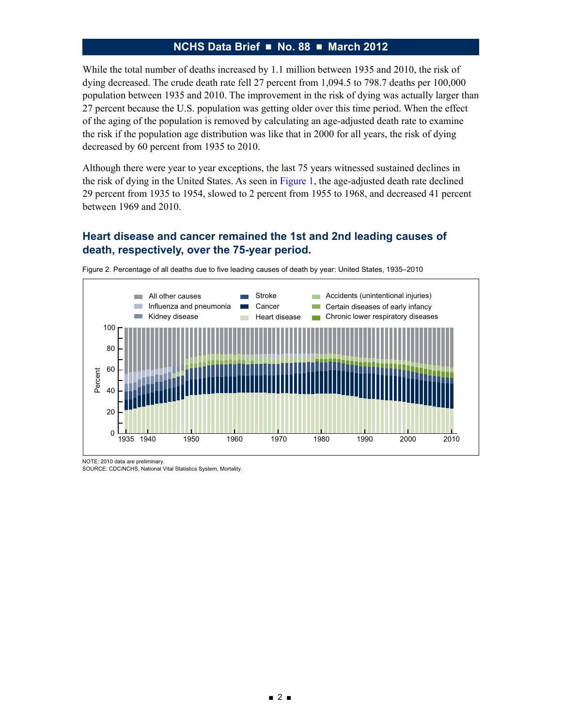<span id="page-1-0"></span>While the total number of deaths increased by 1.1 million between 1935 and 2010, the risk of dying decreased. The crude death rate fell 27 percent from 1,094.5 to 798.7 deaths per 100,000 population between 1935 and 2010. The improvement in the risk of dying was actually larger than 27 percent because the U.S. population was getting older over this time period. When the effect of the aging of the population is removed by calculating an age-adjusted death rate to examine the risk if the population age distribution was like that in 2000 for all years, the risk of dying decreased by 60 percent from 1935 to 2010.

Although there were year to year exceptions, the last 75 years witnessed sustained declines in the risk of dying in the United States. As seen in [Figure 1,](#page-0-0) the age-adjusted death rate declined 29 percent from 1935 to 1954, slowed to 2 percent from 1955 to 1968, and decreased 41 percent between 1969 and 2010.

# **Heart disease and cancer remained the 1st and 2nd leading causes of death, respectively, over the 75-year period.**



Figure 2. Percentage of all deaths due to five leading causes of death by year: United States, 1935–2010

NOTE: 2010 data are preliminary.

SOURCE: CDC/NCHS, National Vital Statistics System, Mortality.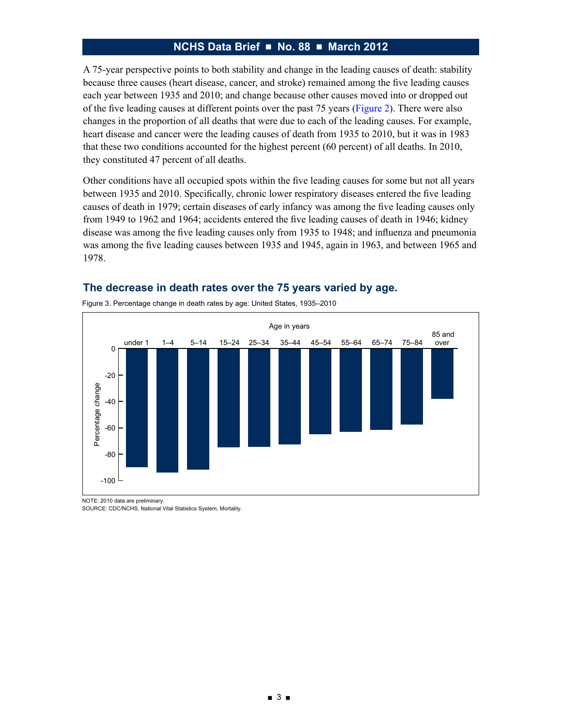<span id="page-2-0"></span>A 75-year perspective points to both stability and change in the leading causes of death: stability because three causes (heart disease, cancer, and stroke) remained among the five leading causes each year between 1935 and 2010; and change because other causes moved into or dropped out of the five leading causes at different points over the past 75 years ([Figure 2\)](#page-1-0). There were also changes in the proportion of all deaths that were due to each of the leading causes. For example, heart disease and cancer were the leading causes of death from 1935 to 2010, but it was in 1983 that these two conditions accounted for the highest percent (60 percent) of all deaths. In 2010, they constituted 47 percent of all deaths.

Other conditions have all occupied spots within the five leading causes for some but not all years between 1935 and 2010. Specifically, chronic lower respiratory diseases entered the five leading causes of death in 1979; certain diseases of early infancy was among the five leading causes only from 1949 to 1962 and 1964; accidents entered the five leading causes of death in 1946; kidney disease was among the five leading causes only from 1935 to 1948; and influenza and pneumonia was among the five leading causes between 1935 and 1945, again in 1963, and between 1965 and 1978.



#### **The decrease in death rates over the 75 years varied by age.**

NOTE: 2010 data are preliminary.

SOURCE: CDC/NCHS, National Vital Statistics System, Mortality.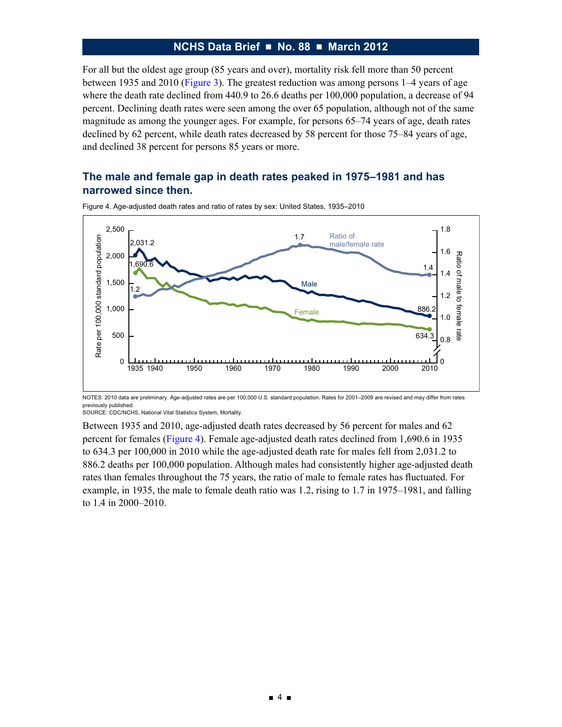For all but the oldest age group (85 years and over), mortality risk fell more than 50 percent between 1935 and 2010 [\(Figure 3\)](#page-2-0). The greatest reduction was among persons 1–4 years of age where the death rate declined from 440.9 to 26.6 deaths per 100,000 population, a decrease of 94 percent. Declining death rates were seen among the over 65 population, although not of the same magnitude as among the younger ages. For example, for persons 65–74 years of age, death rates declined by 62 percent, while death rates decreased by 58 percent for those 75–84 years of age, and declined 38 percent for persons 85 years or more.

## **The male and female gap in death rates peaked in 1975–1981 and has narrowed since then.**



Figure 4. Age-adjusted death rates and ratio of rates by sex: United States, 1935–2010

NOTES: 2010 data are preliminary. Age-adjusted rates are per 100,000 U.S. standard population. Rates for 2001–2009 are revised and may differ from rates previously published.

SOURCE: CDC/NCHS, National Vital Statistics System, Mortality.

Between 1935 and 2010, age-adjusted death rates decreased by 56 percent for males and 62 percent for females (Figure 4). Female age-adjusted death rates declined from 1,690.6 in 1935 to 634.3 per 100,000 in 2010 while the age-adjusted death rate for males fell from 2,031.2 to 886.2 deaths per 100,000 population. Although males had consistently higher age-adjusted death rates than females throughout the 75 years, the ratio of male to female rates has fluctuated. For example, in 1935, the male to female death ratio was 1.2, rising to 1.7 in 1975–1981, and falling to 1.4 in 2000–2010.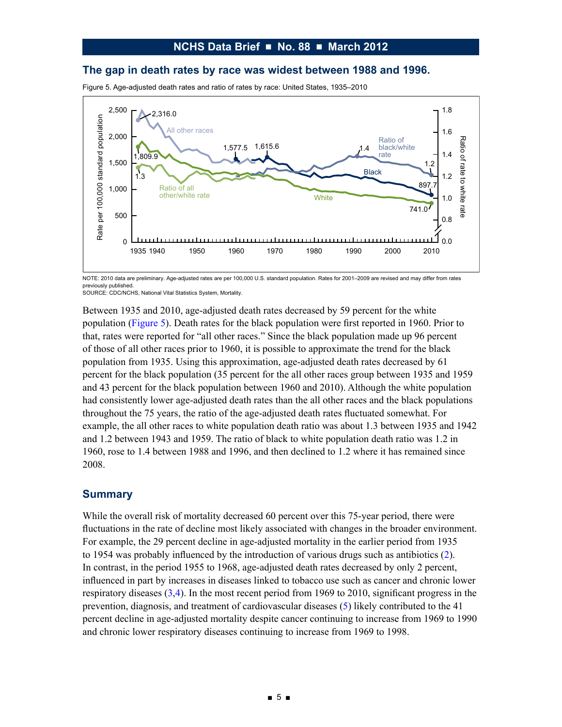#### **The gap in death rates by race was widest between 1988 and 1996.**

Figure 5. Age-adjusted death rates and ratio of rates by race: United States, 1935–2010



NOTE: 2010 data are preliminary. Age-adjusted rates are per 100,000 U.S. standard population. Rates for 2001–2009 are revised and may differ from rates previously published.

Between 1935 and 2010, age-adjusted death rates decreased by 59 percent for the white population (Figure 5). Death rates for the black population were first reported in 1960. Prior to that, rates were reported for "all other races." Since the black population made up 96 percent of those of all other races prior to 1960, it is possible to approximate the trend for the black population from 1935. Using this approximation, age-adjusted death rates decreased by 61 percent for the black population (35 percent for the all other races group between 1935 and 1959 and 43 percent for the black population between 1960 and 2010). Although the white population had consistently lower age-adjusted death rates than the all other races and the black populations throughout the 75 years, the ratio of the age-adjusted death rates fluctuated somewhat. For example, the all other races to white population death ratio was about 1.3 between 1935 and 1942 and 1.2 between 1943 and 1959. The ratio of black to white population death ratio was 1.2 in 1960, rose to 1.4 between 1988 and 1996, and then declined to 1.2 where it has remained since 2008.

#### **Summary**

While the overall risk of mortality decreased 60 percent over this 75-year period, there were fluctuations in the rate of decline most likely associated with changes in the broader environment. For example, the 29 percent decline in age-adjusted mortality in the earlier period from 1935 to 1954 was probably influenced by the introduction of various drugs such as antibiotics ([2\)](#page-5-0). In contrast, in the period 1955 to 1968, age-adjusted death rates decreased by only 2 percent, influenced in part by increases in diseases linked to tobacco use such as cancer and chronic lower respiratory diseases [\(3,](#page-5-0)[4](#page-6-0)). In the most recent period from 1969 to 2010, significant progress in the prevention, diagnosis, and treatment of cardiovascular diseases [\(5\)](#page-6-0) likely contributed to the 41 percent decline in age-adjusted mortality despite cancer continuing to increase from 1969 to 1990 and chronic lower respiratory diseases continuing to increase from 1969 to 1998.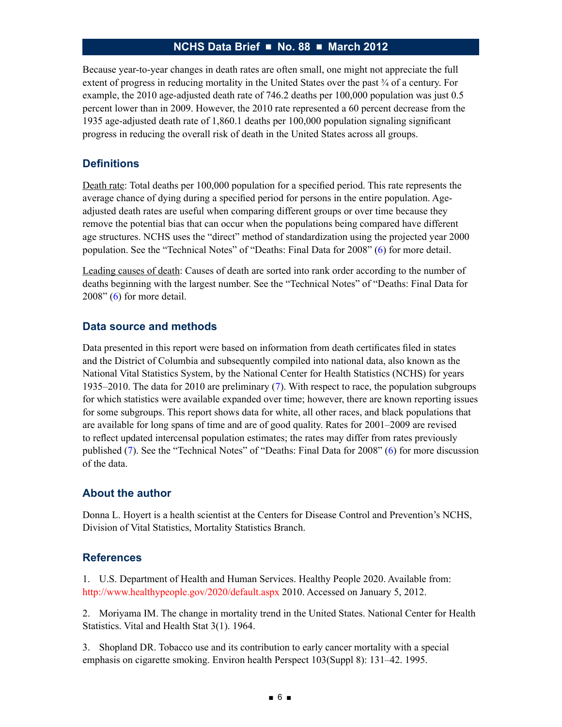<span id="page-5-0"></span>Because year-to-year changes in death rates are often small, one might not appreciate the full extent of progress in reducing mortality in the United States over the past  $\frac{3}{4}$  of a century. For example, the 2010 age-adjusted death rate of 746.2 deaths per 100,000 population was just 0.5 percent lower than in 2009. However, the 2010 rate represented a 60 percent decrease from the 1935 age-adjusted death rate of 1,860.1 deaths per 100,000 population signaling significant progress in reducing the overall risk of death in the United States across all groups.

# **Definitions**

Death rate: Total deaths per 100,000 population for a specified period. This rate represents the average chance of dying during a specified period for persons in the entire population. Ageadjusted death rates are useful when comparing different groups or over time because they remove the potential bias that can occur when the populations being compared have different age structures. NCHS uses the "direct" method of standardization using the projected year 2000 population. See the "Technical Notes" of "Deaths: Final Data for 2008" [\(6\)](#page-6-0) for more detail.

Leading causes of death: Causes of death are sorted into rank order according to the number of deaths beginning with the largest number. See the "Technical Notes" of "Deaths: Final Data for 2008" [\(6\)](#page-6-0) for more detail.

## **Data source and methods**

Data presented in this report were based on information from death certificates filed in states and the District of Columbia and subsequently compiled into national data, also known as the National Vital Statistics System, by the National Center for Health Statistics (NCHS) for years 1935–2010. The data for 2010 are preliminary [\(7\)](#page-6-0). With respect to race, the population subgroups for which statistics were available expanded over time; however, there are known reporting issues for some subgroups. This report shows data for white, all other races, and black populations that are available for long spans of time and are of good quality. Rates for 2001–2009 are revised to reflect updated intercensal population estimates; the rates may differ from rates previously published [\(7\)](#page-6-0). See the "Technical Notes" of "Deaths: Final Data for 2008" [\(6\)](#page-6-0) for more discussion of the data.

## **About the author**

Donna L. Hoyert is a health scientist at the Centers for Disease Control and Prevention's NCHS, Division of Vital Statistics, Mortality Statistics Branch.

## **References**

1. U.S. Department of Health and Human Services. Healthy People 2020. Available from: http://www.healthypeople.gov/2020/default.aspx 2010. Accessed on January 5, 2012.

2. Moriyama IM. The change in mortality trend in the United States. National Center for Health Statistics. Vital and Health Stat 3(1). 1964.

3. Shopland DR. Tobacco use and its contribution to early cancer mortality with a special emphasis on cigarette smoking. Environ health Perspect 103(Suppl 8): 131–42. 1995.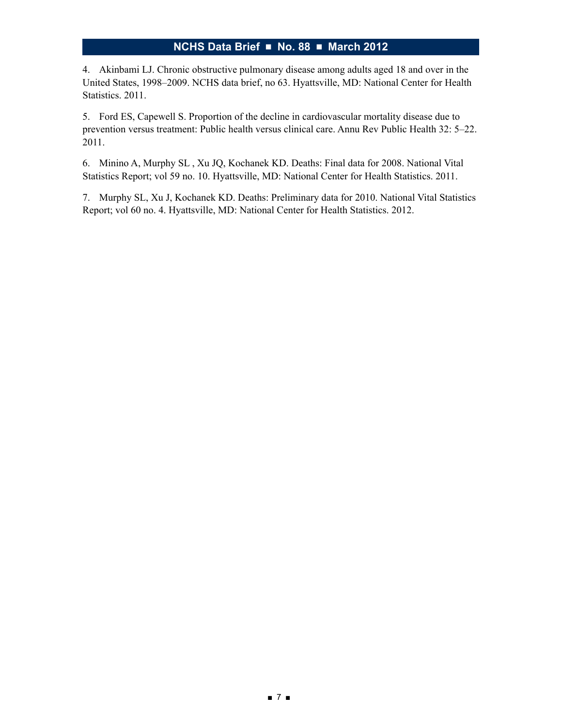<span id="page-6-0"></span>4. Akinbami LJ. Chronic obstructive pulmonary disease among adults aged 18 and over in the United States, 1998–2009. NCHS data brief, no 63. Hyattsville, MD: National Center for Health Statistics. 2011.

5. Ford ES, Capewell S. Proportion of the decline in cardiovascular mortality disease due to prevention versus treatment: Public health versus clinical care. Annu Rev Public Health 32: 5–22. 2011.

6. Minino A, Murphy SL , Xu JQ, Kochanek KD. Deaths: Final data for 2008. National Vital Statistics Report; vol 59 no. 10. Hyattsville, MD: National Center for Health Statistics. 2011.

7. Murphy SL, Xu J, Kochanek KD. Deaths: Preliminary data for 2010. National Vital Statistics Report; vol 60 no. 4. Hyattsville, MD: National Center for Health Statistics. 2012.